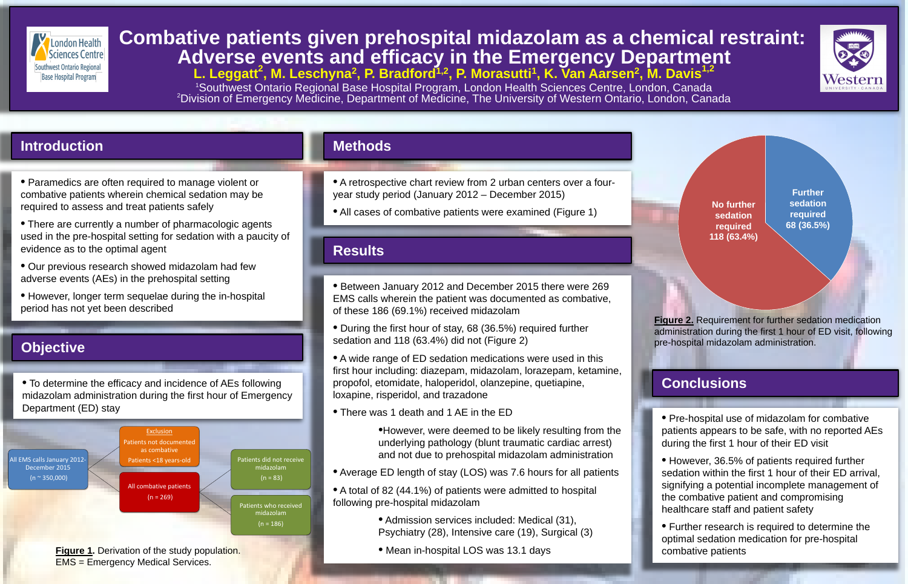# *Combative patients given prehospital midazolam as a chemical restraint:***<br>Interactive and alwarse events and efficacy in the Emergency Denartment Adverse events and efficacy in the Emergency Department** L. Leggatt<sup>2</sup>, M. Leschyna<sup>2</sup>, P. Bradford<sup>1,2</sup>, P. Morasutti<sup>1</sup>, K. Van Aarsen<sup>2</sup>, M. Davis<sup>1,2</sup> <sup>1</sup>Southwest Ontario Regional Base Hospital Program, London Health Sciences Centre, London, Canada<br><sup>2</sup>Division of Emergency Medicine, Department of Medicine, The University of Western Ontario, London, Can Division of Emergency Medicine, Department of Medicine, The University of Western Ontario, London, Canada

• However, 36.5% of patients required further sedation within the first 1 hour of their ED arrival, signifying a potential incomplete management of the combative patient and compromising healthcare staff and patient safety

• A retrospective chart review from 2 urban centers over a four-

• All cases of combative patients were examined (Figure 1)

## **Conclusions**

• Pre-hospital use of midazolam for combative patients appears to be safe, with no reported AEs during the first 1 hour of their ED visit

**Figure 2.** Requirement for further sedation medication administration during the first 1 hour of ED visit, following pre-hospital midazolam administration.

**No further sedation required 118 (63.4%)**

• Further research is required to determine the optimal sedation medication for pre-hospital combative patients





- 
- 
- 
- 



• Between January 2012 and December 2015 there were 269 EMS calls wherein the patient was documented as combative,

• During the first hour of stay, 68 (36.5%) required further

• A wide range of ED sedation medications were used in this first hour including: diazepam, midazolam, lorazepam, ketamine, propofol, etomidate, haloperidol, olanzepine, quetiapine,

•However, were deemed to be likely resulting from the underlying pathology (blunt traumatic cardiac arrest) and not due to prehospital midazolam administration

• Average ED length of stay (LOS) was 7.6 hours for all patients

• A total of 82 (44.1%) of patients were admitted to hospital

• Admission services included: Medical (31), Psychiatry (28), Intensive care (19), Surgical (3)

EMS = Emergency Medical Services.

**Further sedation required 68 (36.5%)**